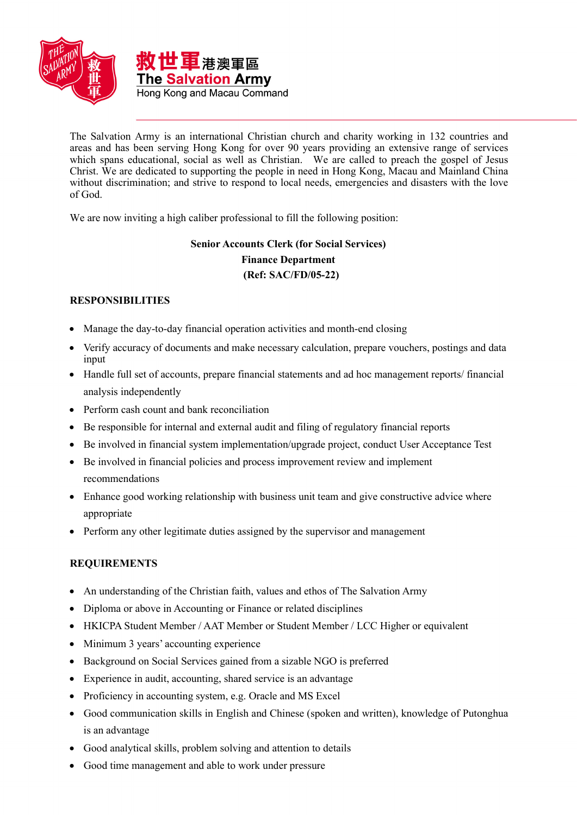

The Salvation Army is an international Christian church and charity working in 132 countries and areas and has been serving Hong Kong for over 90 years providing an extensive range of services which spans educational, social as well as Christian. We are called to preach the gospel of Jesus Christ. We are dedicated to supporting the people in need in Hong Kong, Macau and Mainland China without discrimination; and strive to respond to local needs, emergencies and disasters with the love of God.

We are now inviting a high caliber professional to fill the following position:

## **Senior Accounts Clerk (for Social Services) Finance Department (Ref: SAC/FD/05-22)**

## **RESPONSIBILITIES**

- Manage the day-to-day financial operation activities and month-end closing
- Verify accuracy of documents and make necessary calculation, prepare vouchers, postings and data input
- Handle full set of accounts, prepare financial statements and ad hoc management reports/ financial analysis independently
- Perform cash count and bank reconciliation
- Be responsible for internal and external audit and filing of regulatory financial reports
- Be involved in financial system implementation/upgrade project, conduct User Acceptance Test
- Be involved in financial policies and process improvement review and implement recommendations
- Enhance good working relationship with business unit team and give constructive advice where appropriate
- Perform any other legitimate duties assigned by the supervisor and management

## **REQUIREMENTS**

- An understanding of the Christian faith, values and ethos of The Salvation Army
- Diploma or above in Accounting or Finance or related disciplines
- HKICPA Student Member / AAT Member or Student Member / LCC Higher or equivalent
- Minimum 3 years' accounting experience
- Background on Social Services gained from a sizable NGO is preferred
- Experience in audit, accounting, shared service is an advantage
- Proficiency in accounting system, e.g. Oracle and MS Excel
- Good communication skills in English and Chinese (spoken and written), knowledge of Putonghua is an advantage
- Good analytical skills, problem solving and attention to details
- Good time management and able to work under pressure